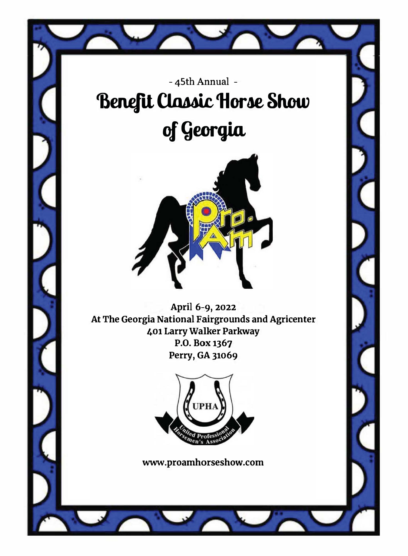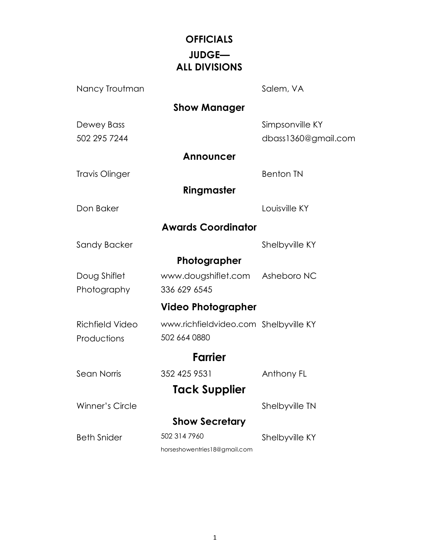## **OFFICIALS JUDGE— ALL DIVISIONS**

| Nancy Troutman             |                                       | Salem, VA                              |
|----------------------------|---------------------------------------|----------------------------------------|
|                            | <b>Show Manager</b>                   |                                        |
| Dewey Bass<br>502 295 7244 |                                       | Simpsonville KY<br>dbass1360@gmail.com |
|                            | <b>Announcer</b>                      |                                        |
| Travis Olinger             |                                       | <b>Benton TN</b>                       |
|                            | Ringmaster                            |                                        |
| Don Baker                  |                                       | Louisville KY                          |
|                            | <b>Awards Coordinator</b>             |                                        |
| Sandy Backer               |                                       | Shelbyville KY                         |
|                            | Photographer                          |                                        |
| Doug Shiflet               | www.dougshiflet.com Asheboro NC       |                                        |
| Photography                | 336 629 6545                          |                                        |
|                            | <b>Video Photographer</b>             |                                        |
| Richfield Video            | www.richfieldvideo.com Shelbyville KY |                                        |
| Productions                | 502 664 0880                          |                                        |
|                            | <b>Farrier</b>                        |                                        |
| Sean Norris                | 352 425 9531                          | Anthony FL                             |
|                            | Tack Supplier                         |                                        |
| Winner's Circle            |                                       | Shelbyville TN                         |
|                            | <b>Show Secretary</b>                 |                                        |
| <b>Beth Snider</b>         | 502 314 7960                          | Shelbyville KY                         |
|                            | horseshowentries18@gmail.com          |                                        |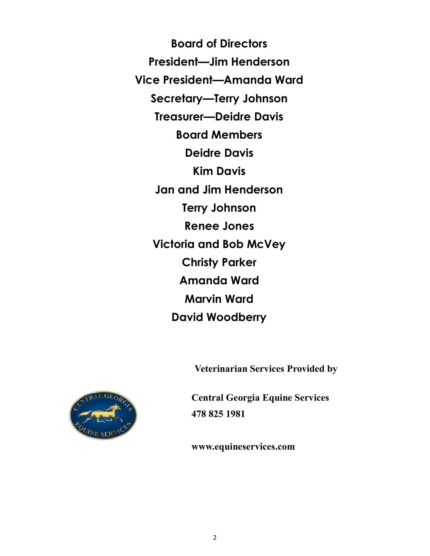**Board of Directors President—Jim Henderson Vice President—Amanda Ward Secretary—Terry Johnson Treasurer—Deidre Davis Board Members Deidre Davis Kim Davis Jan and Jim Henderson Terry Johnson Renee Jones Victoria and Bob McVey Christy Parker Amanda Ward Marvin Ward David Woodberry** 

**Veterinarian Services Provided by**



**Central Georgia Equine Services 478 825 1981**

**www.equineservices.com**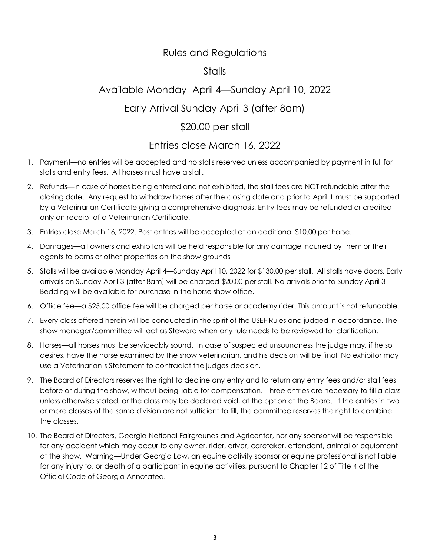### Rules and Regulations

### Stalls

# Available Monday April 4—Sunday April 10, 2022

### Early Arrival Sunday April 3 (after 8am)

### \$20.00 per stall

## Entries close March 16, 2022

- 1. Payment—no entries will be accepted and no stalls reserved unless accompanied by payment in full for stalls and entry fees. All horses must have a stall.
- 2. Refunds—in case of horses being entered and not exhibited, the stall fees are NOT refundable after the closing date. Any request to withdraw horses after the closing date and prior to April 1 must be supported by a Veterinarian Certificate giving a comprehensive diagnosis. Entry fees may be refunded or credited only on receipt of a Veterinarian Certificate.
- 3. Entries close March 16, 2022. Post entries will be accepted at an additional \$10.00 per horse.
- 4. Damages—all owners and exhibitors will be held responsible for any damage incurred by them or their agents to barns or other properties on the show grounds
- 5. Stalls will be available Monday April 4—Sunday April 10, 2022 for \$130.00 per stall. All stalls have doors. Early arrivals on Sunday April 3 (after 8am) will be charged \$20.00 per stall. No arrivals prior to Sunday April 3 Bedding will be available for purchase in the horse show office.
- 6. Office fee—a \$25.00 office fee will be charged per horse or academy rider. This amount is not refundable.
- 7. Every class offered herein will be conducted in the spirit of the USEF Rules and judged in accordance. The show manager/committee will act as Steward when any rule needs to be reviewed for clarification.
- 8. Horses—all horses must be serviceably sound. In case of suspected unsoundness the judge may, if he so desires, have the horse examined by the show veterinarian, and his decision will be final No exhibitor may use a Veterinarian's Statement to contradict the judges decision.
- 9. The Board of Directors reserves the right to decline any entry and to return any entry fees and/or stall fees before or during the show, without being liable for compensation. Three entries are necessary to fill a class unless otherwise stated, or the class may be declared void, at the option of the Board. If the entries in two or more classes of the same division are not sufficient to fill, the committee reserves the right to combine the classes.
- 10. The Board of Directors, Georgia National Fairgrounds and Agricenter, nor any sponsor will be responsible for any accident which may occur to any owner, rider, driver, caretaker, attendant, animal or equipment at the show. Warning—Under Georgia Law, an equine activity sponsor or equine professional is not liable for any injury to, or death of a participant in equine activities, pursuant to Chapter 12 of Title 4 of the Official Code of Georgia Annotated.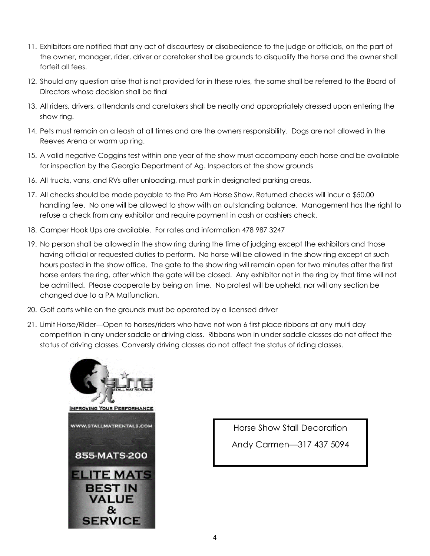- 11. Exhibitors are notified that any act of discourtesy or disobedience to the judge or officials, on the part of the owner, manager, rider, driver or caretaker shall be grounds to disqualify the horse and the owner shall forfeit all fees.
- 12. Should any question arise that is not provided for in these rules, the same shall be referred to the Board of Directors whose decision shall be final
- 13. All riders, drivers, attendants and caretakers shall be neatly and appropriately dressed upon entering the show ring.
- 14. Pets must remain on a leash at all times and are the owners responsibility. Dogs are not allowed in the Reeves Arena or warm up ring.
- 15. A valid negative Coggins test within one year of the show must accompany each horse and be available for inspection by the Georgia Department of Ag. Inspectors at the show grounds
- 16. All trucks, vans, and RVs after unloading, must park in designated parking areas.
- 17. All checks should be made payable to the Pro Am Horse Show. Returned checks will incur a \$50.00 handling fee. No one will be allowed to show with an outstanding balance. Management has the right to refuse a check from any exhibitor and require payment in cash or cashiers check.
- 18. Camper Hook Ups are available. For rates and information 478 987 3247
- 19. No person shall be allowed in the show ring during the time of judging except the exhibitors and those having official or requested duties to perform. No horse will be allowed in the show ring except at such hours posted in the show office. The gate to the show ring will remain open for two minutes after the first horse enters the ring, after which the gate will be closed. Any exhibitor not in the ring by that time will not be admitted. Please cooperate by being on time. No protest will be upheld, nor will any section be changed due to a PA Malfunction.
- 20. Golf carts while on the grounds must be operated by a licensed driver
- 21. Limit Horse/Rider—Open to horses/riders who have not won 6 first place ribbons at any multi day competition in any under saddle or driving class. Ribbons won in under saddle classes do not affect the status of driving classes. Conversly driving classes do not affect the status of riding classes.



Horse Show Stall Decoration

Andy Carmen—317 437 5094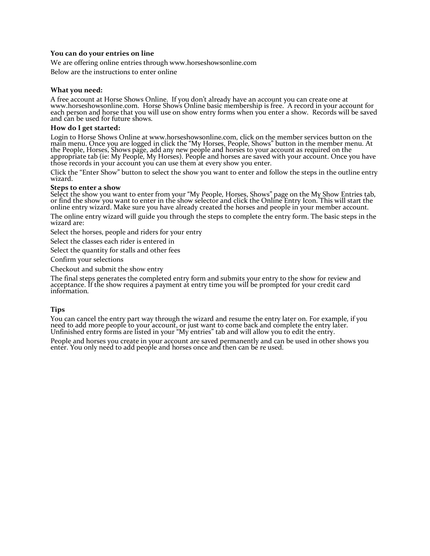#### **You can do your entries on line**

We are offering online entries through www.horseshowsonline.com

Below are the instructions to enter online

#### **What you need:**

A free account at Horse Shows Online. If you don't already have an account you can create one at<br>www.horseshowsonline.com. Horse Shows Online basic membership is free. A record in your account for<br>each person and horse tha

#### **How do I get started:**

Login to Horse Shows Online at www.horseshowsonline.com, click on the member services button on the main menu. Once you are logged in click the "My Horses, People, Shows" button in the member menu. At the People, Horses, Shows page, add any new people and horses to your account as required on the appropriate tab (ie: My People, My Horses). People and horses are saved with your account. Once you have<br>those records in your account you can use them at every show you enter.

Click the "Enter Show" button to select the show you want to enter and follow the steps in the outline entry wizard.

#### **Steps to enter a show**

Select the show you want to enter from your "My People, Horses, Shows" page on the My Show Entries tab, or find the show you want to enter in the show selector and click the Online Entry Icon. This will start the online entry wizard. Make sure you have already created the horses and people in your member account.

The online entry wizard will guide you through the steps to complete the entry form. The basic steps in the wizard are:

Select the horses, people and riders for your entry

Select the classes each rider is entered in

Select the quantity for stalls and other fees

Confirm your selections

Checkout and submit the show entry

The final steps generates the completed entry form and submits your entry to the show for review and acceptance. If the show requires a payment at entry time you will be prompted for your credit card information.

#### **Tips**

You can cancel the entry part way through the wizard and resume the entry later on. For example, if you<br>need to add more people to your account, or just want to come back and complete the entry later. Unfinished entry forms are listed in your "My entries" tab and will allow you to edit the entry.

People and horses you create in your account are saved permanently and can be used in other shows you enter. You only need to add people and horses once and then can be re used.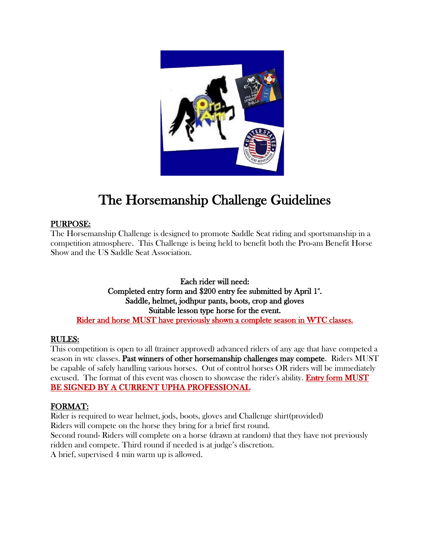

# The Horsemanship Challenge Guidelines

### PURPOSE:

The Horsemanship Challenge is designed to promote Saddle Seat riding and sportsmanship in a competition atmosphere. This Challenge is being held to benefit both the Pro-am Benefit Horse Show and the US Saddle Seat Association.

Each rider will need: Completed entry form and \$200 entry fee submitted by April 1". Saddle, helmet, jodhpur pants, boots, crop and gloves Suitable lesson type horse for the event. Rider and horse MUST have previously shown a complete season in WTC classes.

### RULES:

This competition is open to all (trainer approved) advanced riders of any age that have competed a season in wtc classes. Past winners of other horsemanship challenges may compete. Riders MUST be capable of safely handling various horses. Out of control horses OR riders will be immediately excused. The format of this event was chosen to showcase the rider's ability. **Entry form MUST** BE SIGNED BY A CURRENT UPHA PROFESSIONAL

### FORMAT:

Rider is required to wear helmet, jods, boots, gloves and Challenge shirt(provided) Riders will compete on the horse they bring for a brief first round. Second round- Riders will complete on a horse (drawn at random) that they have not previously ridden and compete. Third round if needed is at judge's discretion. A brief, supervised 4 min warm up is allowed.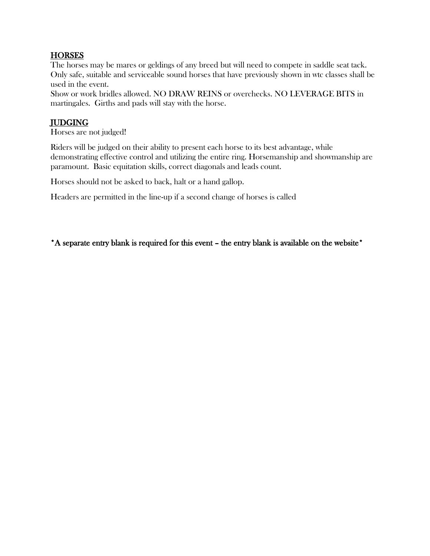### **HORSES**

The horses may be mares or geldings of any breed but will need to compete in saddle seat tack. Only safe, suitable and serviceable sound horses that have previously shown in wtc classes shall be used in the event.

Show or work bridles allowed. NO DRAW REINS or overchecks. NO LEVERAGE BITS in martingales. Girths and pads will stay with the horse.

### JUDGING

Horses are not judged!

Riders will be judged on their ability to present each horse to its best advantage, while demonstrating effective control and utilizing the entire ring. Horsemanship and showmanship are paramount. Basic equitation skills, correct diagonals and leads count.

Horses should not be asked to back, halt or a hand gallop.

Headers are permitted in the line-up if a second change of horses is called

\*A separate entry blank is required for this event – the entry blank is available on the website\*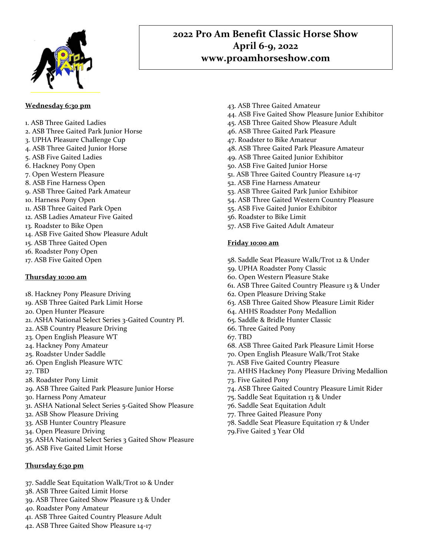

### **2022 Pro Am Benefit Classic Horse Show April 6-9, 2022 www.proamhorseshow.com**

#### **Wednesday 6:30 pm**

- 1. ASB Three Gaited Ladies
- 2. ASB Three Gaited Park Junior Horse
- 3. UPHA Pleasure Challenge Cup
- 4. ASB Three Gaited Junior Horse
- 5. ASB Five Gaited Ladies
- 6. Hackney Pony Open
- 7. Open Western Pleasure
- 8. ASB Fine Harness Open
- 9. ASB Three Gaited Park Amateur
- 10. Harness Pony Open
- 11. ASB Three Gaited Park Open
- 12. ASB Ladies Amateur Five Gaited
- 13. Roadster to Bike Open
- 14. ASB Five Gaited Show Pleasure Adult
- 15. ASB Three Gaited Open
- 16. Roadster Pony Open
- 17. ASB Five Gaited Open

#### **Thursday 10:00 am**

- 18. Hackney Pony Pleasure Driving
- 19. ASB Three Gaited Park Limit Horse
- 20. Open Hunter Pleasure
- 21. ASHA National Select Series 3-Gaited Country Pl.
- 22. ASB Country Pleasure Driving
- 23. Open English Pleasure WT
- 24. Hackney Pony Amateur
- 25. Roadster Under Saddle
- 26. Open English Pleasure WTC
- 27. TBD
- 28. Roadster Pony Limit
- 29. ASB Three Gaited Park Pleasure Junior Horse
- 30. Harness Pony Amateur
- 31. ASHA National Select Series 5-Gaited Show Pleasure
- 32. ASB Show Pleasure Driving
- 33. ASB Hunter Country Pleasure
- 34. Open Pleasure Driving
- 35. ASHA National Select Series 3 Gaited Show Pleasure
- 36. ASB Five Gaited Limit Horse

#### **Thursday 6;30 pm**

- 37. Saddle Seat Equitation Walk/Trot 10 & Under
- 38. ASB Three Gaited Limit Horse
- 39. ASB Three Gaited Show Pleasure 13 & Under
- 40. Roadster Pony Amateur
- 41. ASB Three Gaited Country Pleasure Adult
- 42. ASB Three Gaited Show Pleasure 14-17
- 43. ASB Three Gaited Amateur
- 44. ASB Five Gaited Show Pleasure Junior Exhibitor
- 45. ASB Three Gaited Show Pleasure Adult
- 46. ASB Three Gaited Park Pleasure
- 47. Roadster to Bike Amateur
- 48. ASB Three Gaited Park Pleasure Amateur
- 49. ASB Three Gaited Junior Exhibitor
- 50. ASB Five Gaited Junior Horse
- 51. ASB Three Gaited Country Pleasure 14-17
- 52. ASB Fine Harness Amateur
- 53. ASB Three Gaited Park Junior Exhibitor
- 54. ASB Three Gaited Western Country Pleasure
- 55. ASB Five Gaited Junior Exhibitor
- 56. Roadster to Bike Limit
- 57. ASB Five Gaited Adult Amateur

#### **Friday 10:00 am**

- 58. Saddle Seat Pleasure Walk/Trot 12 & Under
- 59. UPHA Roadster Pony Classic
- 60. Open Western Pleasure Stake
- 61. ASB Three Gaited Country Pleasure 13 & Under
- 62. Open Pleasure Driving Stake
- 63. ASB Three Gaited Show Pleasure Limit Rider
- 64. AHHS Roadster Pony Medallion
- 65. Saddle & Bridle Hunter Classic
- 66. Three Gaited Pony
- 67. TBD
- 68. ASB Three Gaited Park Pleasure Limit Horse
- 70. Open English Pleasure Walk/Trot Stake
- 71. ASB Five Gaited Country Pleasure
- 72. AHHS Hackney Pony Pleasure Driving Medallion
- 73. Five Gaited Pony
- 74. ASB Three Gaited Country Pleasure Limit Rider
- 75. Saddle Seat Equitation 13 & Under
- 76. Saddle Seat Equitation Adult
- 77. Three Gaited Pleasure Pony
- 78. Saddle Seat Pleasure Equitation 17 & Under
- 79.Five Gaited 3 Year Old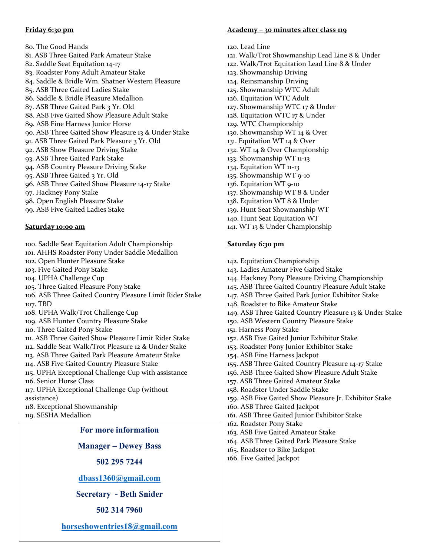#### **Friday 6:30 pm**

80. The Good Hands 81. ASB Three Gaited Park Amateur Stake 82. Saddle Seat Equitation 14-17 83. Roadster Pony Adult Amateur Stake 84. Saddle & Bridle Wm. Shatner Western Pleasure 85. ASB Three Gaited Ladies Stake 86. Saddle & Bridle Pleasure Medallion 87. ASB Three Gaited Park 3 Yr. Old 88. ASB Five Gaited Show Pleasure Adult Stake 89. ASB Fine Harness Junior Horse 90. ASB Three Gaited Show Pleasure 13 & Under Stake 91. ASB Three Gaited Park Pleasure 3 Yr. Old 92. ASB Show Pleasure Driving Stake 93. ASB Three Gaited Park Stake 94. ASB Country Pleasure Driving Stake 95. ASB Three Gaited 3 Yr. Old 96. ASB Three Gaited Show Pleasure 14-17 Stake 97. Hackney Pony Stake 98. Open English Pleasure Stake 99. ASB Five Gaited Ladies Stake

#### **Saturday 10:00 am**

- 100. Saddle Seat Equitation Adult Championship
- 101. AHHS Roadster Pony Under Saddle Medallion
- 102. Open Hunter Pleasure Stake
- 103. Five Gaited Pony Stake
- 104. UPHA Challenge Cup
- 105. Three Gaited Pleasure Pony Stake
- 106. ASB Three Gaited Country Pleasure Limit Rider Stake 107. TBD
- 108. UPHA Walk/Trot Challenge Cup
- 109. ASB Hunter Country Pleasure Stake
- 110. Three Gaited Pony Stake
- 111. ASB Three Gaited Show Pleasure Limit Rider Stake
- 112. Saddle Seat Walk/Trot Pleasure 12 & Under Stake
- 113. ASB Three Gaited Park Pleasure Amateur Stake
- 114. ASB Five Gaited Country Pleasure Stake
- 115. UPHA Exceptional Challenge Cup with assistance 116. Senior Horse Class
- 117. UPHA Exceptional Challenge Cup (without
- assistance)
- 118. Exceptional Showmanship
- 119. SESHA Medallion

#### **For more information**

**Manager – Dewey Bass** 

**502 295 7244**

**[dbass1360@gmail.com](mailto:dbass1360@gmail.com)**

**Secretary - Beth Snider**

**502 314 7960**

**[horseshowentries18@gmail.com](mailto:horseshowentries18@gmail.com)**

#### **Academy – 30 minutes after class 119**

- 120. Lead Line
- 121. Walk/Trot Showmanship Lead Line 8 & Under
- 122. Walk/Trot Equitation Lead Line 8 & Under
- 123. Showmanship Driving
- 124. Reinsmanship Driving
- 125. Showmanship WTC Adult
- 126. Equitation WTC Adult
- 127. Showmanship WTC 17 & Under
- 128. Equitation WTC 17 & Under
- 129. WTC Championship
- 130. Showmanship WT 14 & Over
- 131. Equitation WT 14 & Over
- 132. WT 14 & Over Championship
- 133. Showmanship WT 11-13
- 134. Equitation WT 11-13
- 135. Showmanship WT 9-10
- 136. Equitation WT 9-10
- 137. Showmanship WT 8 & Under
- 138. Equitation WT 8 & Under
- 139. Hunt Seat Showmanship WT
- 140. Hunt Seat Equitation WT
- 141. WT 13 & Under Championship

#### **Saturday 6:30 pm**

- 142. Equitation Championship
- 143. Ladies Amateur Five Gaited Stake
- 144. Hackney Pony Pleasure Driving Championship
- 145. ASB Three Gaited Country Pleasure Adult Stake
- 147. ASB Three Gaited Park Junior Exhibitor Stake
- 148. Roadster to Bike Amateur Stake
- 149. ASB Three Gaited Country Pleasure 13 & Under Stake
- 150. ASB Western Country Pleasure Stake
- 151. Harness Pony Stake
- 152. ASB Five Gaited Junior Exhibitor Stake
- 153. Roadster Pony Junior Exhibitor Stake
- 154. ASB Fine Harness Jackpot
- 155. ASB Three Gaited Country Pleasure 14-17 Stake
- 156. ASB Three Gaited Show Pleasure Adult Stake
- 157. ASB Three Gaited Amateur Stake
- 158. Roadster Under Saddle Stake
- 159. ASB Five Gaited Show Pleasure Jr. Exhibitor Stake
- 160. ASB Three Gaited Jackpot
- 161. ASB Three Gaited Junior Exhibitor Stake
- 162. Roadster Pony Stake
- 163. ASB Five Gaited Amateur Stake
- 164. ASB Three Gaited Park Pleasure Stake
- 165. Roadster to Bike Jackpot
- 166. Five Gaited Jackpot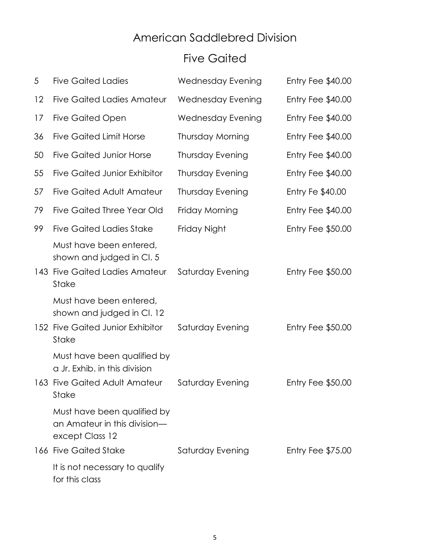## American Saddlebred Division

## Five Gaited

| 5   | <b>Five Gaited Ladies</b>                                                                                     | Wednesday Evening        | <b>Entry Fee \$40.00</b> |
|-----|---------------------------------------------------------------------------------------------------------------|--------------------------|--------------------------|
| 12  | <b>Five Gaited Ladies Amateur</b>                                                                             | <b>Wednesday Evening</b> | Entry Fee \$40.00        |
| 17  | <b>Five Gaited Open</b>                                                                                       | <b>Wednesday Evening</b> | Entry Fee $$40.00$       |
| 36  | <b>Five Gaited Limit Horse</b>                                                                                | Thursday Morning         | Entry Fee \$40.00        |
| 50  | <b>Five Gaited Junior Horse</b>                                                                               | <b>Thursday Evening</b>  | Entry Fee \$40.00        |
| 55  | <b>Five Gaited Junior Exhibitor</b>                                                                           | <b>Thursday Evening</b>  | Entry Fee \$40.00        |
| 57  | <b>Five Gaited Adult Amateur</b>                                                                              | <b>Thursday Evening</b>  | Entry Fe \$40.00         |
| 79  | Five Gaited Three Year Old                                                                                    | Friday Morning           | Entry Fee $$40.00$       |
| 99  | <b>Five Gaited Ladies Stake</b>                                                                               | Friday Night             | Entry Fee \$50.00        |
| 143 | Must have been entered,<br>shown and judged in Cl. 5<br><b>Five Gaited Ladies Amateur</b><br><b>Stake</b>     | Saturday Evening         | <b>Entry Fee \$50.00</b> |
|     | Must have been entered,<br>shown and judged in Cl. 12<br>152 Five Gaited Junior Exhibitor                     | Saturday Evening         | Entry Fee $$50.00$       |
|     | Stake                                                                                                         |                          |                          |
|     | Must have been qualified by<br>a Jr. Exhib. in this division<br>163 Five Gaited Adult Amateur<br><b>Stake</b> | Saturday Evening         | Entry Fee $$50.00$       |
|     | Must have been qualified by                                                                                   |                          |                          |
|     | an Amateur in this division-<br>except Class 12                                                               |                          |                          |
|     | 166 Five Gaited Stake                                                                                         | Saturday Evening         | Entry Fee $$75.00$       |
|     | It is not necessary to qualify<br>for this class                                                              |                          |                          |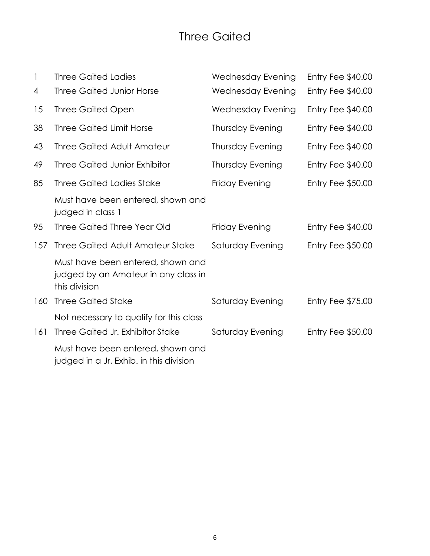## Three Gaited

| $\mathbf{1}$ | <b>Three Gaited Ladies</b>                                                                 | <b>Wednesday Evening</b> | Entry Fee $$40.00$       |
|--------------|--------------------------------------------------------------------------------------------|--------------------------|--------------------------|
| 4            | <b>Three Gaited Junior Horse</b>                                                           | <b>Wednesday Evening</b> | <b>Entry Fee \$40.00</b> |
| 15           | <b>Three Gaited Open</b>                                                                   | Wednesday Evening        | Entry Fee \$40.00        |
| 38           | <b>Three Gaited Limit Horse</b>                                                            | <b>Thursday Evening</b>  | Entry Fee \$40.00        |
| 43           | <b>Three Gaited Adult Amateur</b>                                                          | <b>Thursday Evening</b>  | Entry Fee \$40.00        |
| 49           | <b>Three Gaited Junior Exhibitor</b>                                                       | <b>Thursday Evening</b>  | Entry Fee \$40.00        |
| 85           | <b>Three Gaited Ladies Stake</b>                                                           | Friday Evening           | <b>Entry Fee \$50.00</b> |
|              | Must have been entered, shown and<br>judged in class 1                                     |                          |                          |
| 95           | <b>Three Gaited Three Year Old</b>                                                         | Friday Evening           | Entry Fee \$40.00        |
| 157          | <b>Three Gaited Adult Amateur Stake</b>                                                    | Saturday Evening         | <b>Entry Fee \$50.00</b> |
|              | Must have been entered, shown and<br>judged by an Amateur in any class in<br>this division |                          |                          |
| 160          | <b>Three Gaited Stake</b>                                                                  | Saturday Evening         | <b>Entry Fee \$75.00</b> |
|              | Not necessary to qualify for this class                                                    |                          |                          |
| 161          | Three Gaited Jr. Exhibitor Stake                                                           | Saturday Evening         | <b>Entry Fee \$50.00</b> |
|              | Must have been entered, shown and<br>judged in a Jr. Exhib. in this division               |                          |                          |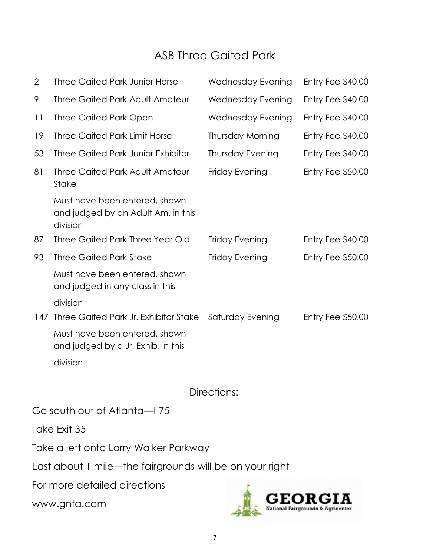## ASB Three Gaited Park

| $\mathbf{2}$ | <b>Three Gaited Park Junior Horse</b>                                           | <b>Wednesday Evening</b> | Entry Fee $$40.00$ |
|--------------|---------------------------------------------------------------------------------|--------------------------|--------------------|
| 9            | <b>Three Gaited Park Adult Amateur</b>                                          | <b>Wednesday Evening</b> | Entry Fee \$40.00  |
| 11           | <b>Three Gaited Park Open</b>                                                   | <b>Wednesday Evening</b> | Entry Fee \$40.00  |
| 19           | <b>Three Gaited Park Limit Horse</b>                                            | Thursday Morning         | Entry Fee \$40.00  |
| 53           | <b>Three Gaited Park Junior Exhibitor</b>                                       | <b>Thursday Evening</b>  | Entry Fee \$40.00  |
| 81           | <b>Three Gaited Park Adult Amateur</b><br><b>Stake</b>                          | Friday Evening           | Entry Fee \$50.00  |
|              | Must have been entered, shown<br>and judged by an Adult Am. in this<br>division |                          |                    |
| 87           | Three Gaited Park Three Year Old                                                | Friday Evening           | Entry Fee $$40.00$ |
| 93           | <b>Three Gaited Park Stake</b>                                                  | Friday Evening           | Entry Fee \$50.00  |
|              | Must have been entered, shown<br>and judged in any class in this                |                          |                    |
|              | division                                                                        |                          |                    |
| 147          | Three Gaited Park Jr. Exhibitor Stake                                           | Saturday Evening         | Entry Fee $$50.00$ |
|              | Must have been entered, shown<br>and judged by a Jr. Exhib. in this             |                          |                    |
|              | division                                                                        |                          |                    |
|              |                                                                                 | Directions:              |                    |
|              | Go south out of Atlanta—I 75                                                    |                          |                    |
|              | Take Exit 35                                                                    |                          |                    |
|              | Take a left onto Larry Walker Parkway                                           |                          |                    |

East about 1 mile—the fairgrounds will be on your right

For more detailed directions -

www.gnfa.com

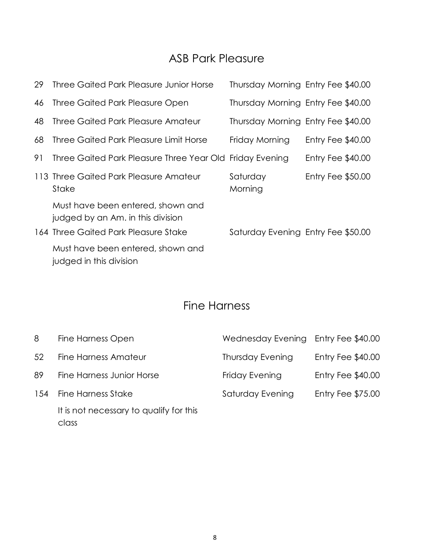## ASB Park Pleasure

| 29 | Three Gaited Park Pleasure Junior Horse                                                                        | Thursday Morning Entry Fee \$40.00 |                    |
|----|----------------------------------------------------------------------------------------------------------------|------------------------------------|--------------------|
| 46 | Three Gaited Park Pleasure Open                                                                                | Thursday Morning Entry Fee \$40.00 |                    |
| 48 | Three Gaited Park Pleasure Amateur                                                                             | Thursday Morning Entry Fee \$40.00 |                    |
| 68 | Three Gaited Park Pleasure Limit Horse                                                                         | Friday Morning                     | Entry Fee \$40.00  |
| 91 | Three Gaited Park Pleasure Three Year Old Friday Evening                                                       |                                    | Entry Fee $$40.00$ |
|    | 113 Three Gaited Park Pleasure Amateur<br>Stake                                                                | Saturday<br>Morning                | Entry Fee $$50.00$ |
|    | Must have been entered, shown and<br>judged by an Am. in this division<br>164 Three Gaited Park Pleasure Stake | Saturday Evening Entry Fee \$50.00 |                    |
|    | Must have been entered, shown and<br>judged in this division                                                   |                                    |                    |

## Fine Harness

| 8   | <b>Fine Harness Open</b>                         | Wednesday Evening       | Entry Fee \$40.00        |
|-----|--------------------------------------------------|-------------------------|--------------------------|
| 52  | Fine Harness Amateur                             | <b>Thursday Evening</b> | Entry Fee \$40.00        |
| 89  | Fine Harness Junior Horse                        | Friday Evening          | Entry Fee \$40.00        |
| 154 | <b>Fine Harness Stake</b>                        | Saturday Evening        | <b>Entry Fee \$75.00</b> |
|     | It is not necessary to qualify for this<br>class |                         |                          |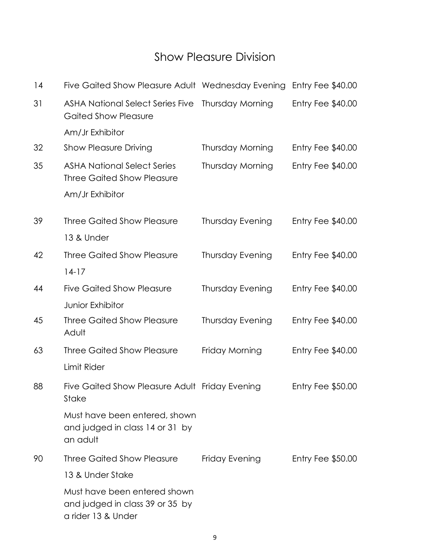## Show Pleasure Division

| 14 | Five Gaited Show Pleasure Adult Wednesday Evening                                     |                         | Entry Fee \$40.00        |
|----|---------------------------------------------------------------------------------------|-------------------------|--------------------------|
| 31 | <b>ASHA National Select Series Five</b><br><b>Gaited Show Pleasure</b>                | Thursday Morning        | Entry Fee $$40.00$       |
|    | Am/Jr Exhibitor                                                                       |                         |                          |
| 32 | <b>Show Pleasure Driving</b>                                                          | Thursday Morning        | Entry Fee $$40.00$       |
| 35 | <b>ASHA National Select Series</b><br><b>Three Gaited Show Pleasure</b>               | Thursday Morning        | Entry Fee $$40.00$       |
|    | Am/Jr Exhibitor                                                                       |                         |                          |
| 39 | <b>Three Gaited Show Pleasure</b>                                                     | Thursday Evening        | Entry Fee $$40.00$       |
|    | 13 & Under                                                                            |                         |                          |
| 42 | <b>Three Gaited Show Pleasure</b>                                                     | <b>Thursday Evening</b> | Entry Fee \$40.00        |
|    | $14-17$                                                                               |                         |                          |
| 44 | <b>Five Gaited Show Pleasure</b>                                                      | Thursday Evening        | Entry Fee $$40.00$       |
|    | Junior Exhibitor                                                                      |                         |                          |
| 45 | <b>Three Gaited Show Pleasure</b><br>Adult                                            | Thursday Evening        | Entry Fee $$40.00$       |
| 63 | <b>Three Gaited Show Pleasure</b>                                                     | Friday Morning          | Entry Fee \$40.00        |
|    | Limit Rider                                                                           |                         |                          |
| 88 | Five Gaited Show Pleasure Adult Friday Evening<br>Stake                               |                         | Entry Fee $$50.00$       |
|    | Must have been entered, shown<br>and judged in class 14 or 31 by<br>an adult          |                         |                          |
| 90 | Three Gaited Show Pleasure                                                            | Friday Evening          | <b>Entry Fee \$50.00</b> |
|    | 13 & Under Stake                                                                      |                         |                          |
|    | Must have been entered shown<br>and judged in class 39 or 35 by<br>a rider 13 & Under |                         |                          |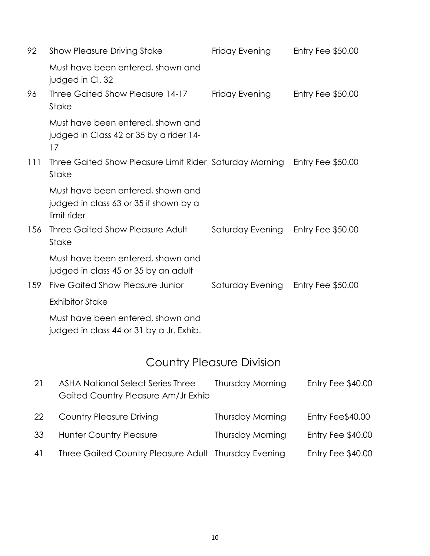| 92  | <b>Show Pleasure Driving Stake</b>                                                         | Friday Evening   | Entry Fee $$50.00$       |
|-----|--------------------------------------------------------------------------------------------|------------------|--------------------------|
|     | Must have been entered, shown and<br>judged in Cl. 32                                      |                  |                          |
| 96  | Three Gaited Show Pleasure 14-17<br><b>Stake</b>                                           | Friday Evening   | Entry Fee $$50.00$       |
|     | Must have been entered, shown and<br>judged in Class 42 or 35 by a rider 14-<br>17         |                  |                          |
| 111 | Three Gaited Show Pleasure Limit Rider Saturday Morning<br><b>Stake</b>                    |                  | <b>Entry Fee \$50.00</b> |
|     | Must have been entered, shown and<br>judged in class 63 or 35 if shown by a<br>limit rider |                  |                          |
| 156 | Three Gaited Show Pleasure Adult<br>Stake                                                  | Saturday Evening | Entry Fee $$50.00$       |
|     | Must have been entered, shown and<br>judged in class 45 or 35 by an adult                  |                  |                          |
| 159 | <b>Five Gaited Show Pleasure Junior</b>                                                    | Saturday Evening | Entry Fee \$50.00        |
|     | <b>Exhibitor Stake</b>                                                                     |                  |                          |
|     | Must have been entered, shown and                                                          |                  |                          |

judged in class 44 or 31 by a Jr. Exhib.

# Country Pleasure Division

| 21 | <b>ASHA National Select Series Three</b><br>Gaited Country Pleasure Am/Jr Exhib | Thursday Morning        | Entry Fee \$40.00 |
|----|---------------------------------------------------------------------------------|-------------------------|-------------------|
| 22 | <b>Country Pleasure Driving</b>                                                 | Thursday Morning        | Entry Fee\$40.00  |
| 33 | <b>Hunter Country Pleasure</b>                                                  | <b>Thursday Morning</b> | Entry Fee \$40.00 |
| 41 | Three Gaited Country Pleasure Adult Thursday Evening                            |                         | Entry Fee \$40.00 |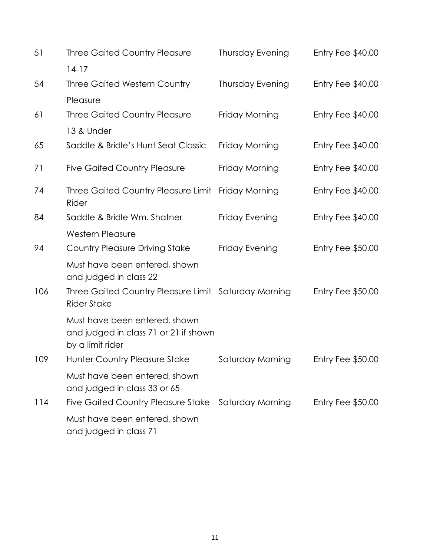| 51  | <b>Three Gaited Country Pleasure</b>                                                       | <b>Thursday Evening</b> | Entry Fee \$40.00        |
|-----|--------------------------------------------------------------------------------------------|-------------------------|--------------------------|
|     | $14-17$                                                                                    |                         |                          |
| 54  | <b>Three Gaited Western Country</b>                                                        | <b>Thursday Evening</b> | Entry Fee \$40.00        |
|     | Pleasure                                                                                   |                         |                          |
| 61  | <b>Three Gaited Country Pleasure</b>                                                       | Friday Morning          | Entry Fee \$40.00        |
|     | 13 & Under                                                                                 |                         |                          |
| 65  | Saddle & Bridle's Hunt Seat Classic                                                        | Friday Morning          | Entry Fee \$40.00        |
| 71  | <b>Five Gaited Country Pleasure</b>                                                        | Friday Morning          | Entry Fee \$40.00        |
| 74  | Three Gaited Country Pleasure Limit Friday Morning<br>Rider                                |                         | Entry Fee \$40.00        |
| 84  | Saddle & Bridle Wm. Shatner                                                                | Friday Evening          | Entry Fee \$40.00        |
|     | <b>Western Pleasure</b>                                                                    |                         |                          |
| 94  | <b>Country Pleasure Driving Stake</b>                                                      | Friday Evening          | Entry Fee $$50.00$       |
|     | Must have been entered, shown<br>and judged in class 22                                    |                         |                          |
| 106 | Three Gaited Country Pleasure Limit Saturday Morning<br><b>Rider Stake</b>                 |                         | <b>Entry Fee \$50.00</b> |
|     | Must have been entered, shown<br>and judged in class 71 or 21 if shown<br>by a limit rider |                         |                          |
| 109 | Hunter Country Pleasure Stake                                                              | Saturday Morning        | Entry Fee \$50.00        |
|     | Must have been entered, shown<br>and judged in class 33 or 65                              |                         |                          |
| 114 | <b>Five Gaited Country Pleasure Stake</b>                                                  | Saturday Morning        | Entry Fee \$50.00        |
|     | Must have been entered, shown<br>and judged in class 71                                    |                         |                          |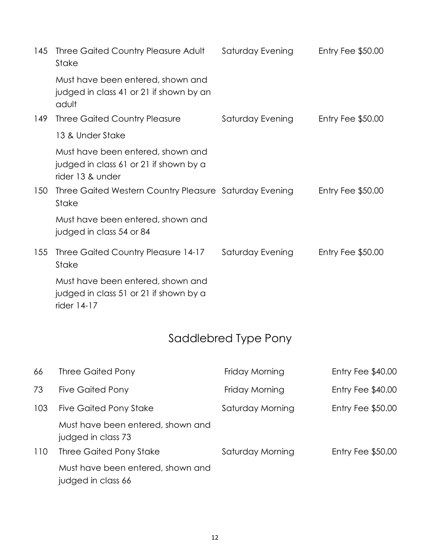| 145 | Three Gaited Country Pleasure Adult<br>Stake                                                    | Saturday Evening | Entry Fee $$50.00$ |
|-----|-------------------------------------------------------------------------------------------------|------------------|--------------------|
|     | Must have been entered, shown and<br>judged in class 41 or 21 if shown by an<br>adult           |                  |                    |
| 149 | <b>Three Gaited Country Pleasure</b>                                                            | Saturday Evening | Entry Fee $$50.00$ |
|     | 13 & Under Stake                                                                                |                  |                    |
|     | Must have been entered, shown and<br>judged in class 61 or 21 if shown by a<br>rider 13 & under |                  |                    |
| 150 | Three Gaited Western Country Pleasure Saturday Evening<br>Stake                                 |                  | Entry Fee $$50.00$ |
|     | Must have been entered, shown and<br>judged in class 54 or 84                                   |                  |                    |
| 155 | Three Gaited Country Pleasure 14-17<br>Stake                                                    | Saturday Evening | Entry Fee $$50.00$ |
|     | Must have been entered, shown and<br>judged in class 51 or 21 if shown by a<br>rider 14-17      |                  |                    |

# Saddlebred Type Pony

| 66  | Three Gaited Pony                                       | Friday Morning   | Entry Fee \$40.00  |
|-----|---------------------------------------------------------|------------------|--------------------|
| 73  | <b>Five Gaited Pony</b>                                 | Friday Morning   | Entry Fee \$40.00  |
| 103 | Five Gaited Pony Stake                                  | Saturday Morning | Entry Fee $$50.00$ |
|     | Must have been entered, shown and<br>judged in class 73 |                  |                    |
| 110 | Three Gaited Pony Stake                                 | Saturday Morning | Entry Fee $$50.00$ |
|     | Must have been entered, shown and<br>judged in class 66 |                  |                    |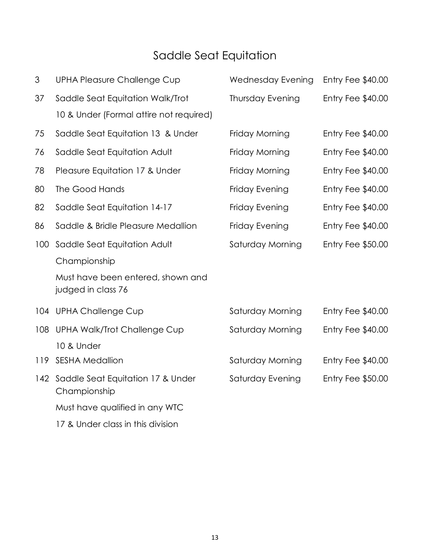# Saddle Seat Equitation

| 3   | <b>UPHA Pleasure Challenge Cup</b>                      | <b>Wednesday Evening</b> | Entry Fee \$40.00 |
|-----|---------------------------------------------------------|--------------------------|-------------------|
| 37  | Saddle Seat Equitation Walk/Trot                        | <b>Thursday Evening</b>  | Entry Fee \$40.00 |
|     | 10 & Under (Formal attire not required)                 |                          |                   |
| 75  | Saddle Seat Equitation 13 & Under                       | Friday Morning           | Entry Fee \$40.00 |
| 76  | Saddle Seat Equitation Adult                            | Friday Morning           | Entry Fee \$40.00 |
| 78  | Pleasure Equitation 17 & Under                          | Friday Morning           | Entry Fee \$40.00 |
| 80  | The Good Hands                                          | Friday Evening           | Entry Fee \$40.00 |
| 82  | Saddle Seat Equitation 14-17                            | Friday Evening           | Entry Fee \$40.00 |
| 86  | Saddle & Bridle Pleasure Medallion                      | Friday Evening           | Entry Fee \$40.00 |
| 100 | Saddle Seat Equitation Adult                            | Saturday Morning         | Entry Fee \$50.00 |
|     | Championship                                            |                          |                   |
|     | Must have been entered, shown and<br>judged in class 76 |                          |                   |
|     | 104 UPHA Challenge Cup                                  | Saturday Morning         | Entry Fee \$40.00 |
| 108 | UPHA Walk/Trot Challenge Cup                            | Saturday Morning         | Entry Fee \$40.00 |
|     | 10 & Under                                              |                          |                   |
| 119 | <b>SESHA Medallion</b>                                  | Saturday Morning         | Entry Fee \$40.00 |
|     | 142 Saddle Seat Equitation 17 & Under<br>Championship   | Saturday Evening         | Entry Fee \$50.00 |
|     | Must have qualified in any WTC                          |                          |                   |
|     | 17 & Under class in this division                       |                          |                   |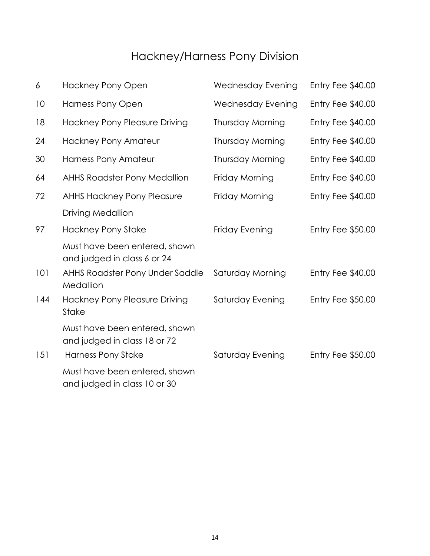# Hackney/Harness Pony Division

| 6   | <b>Hackney Pony Open</b>                                      | <b>Wednesday Evening</b> | Entry Fee \$40.00        |
|-----|---------------------------------------------------------------|--------------------------|--------------------------|
| 10  | <b>Harness Pony Open</b>                                      | <b>Wednesday Evening</b> | Entry Fee \$40.00        |
| 18  | Hackney Pony Pleasure Driving                                 | Thursday Morning         | Entry Fee \$40.00        |
| 24  | Hackney Pony Amateur                                          | Thursday Morning         | Entry Fee \$40.00        |
| 30  | <b>Harness Pony Amateur</b>                                   | Thursday Morning         | Entry Fee \$40.00        |
| 64  | <b>AHHS Roadster Pony Medallion</b>                           | Friday Morning           | Entry Fee \$40.00        |
| 72  | <b>AHHS Hackney Pony Pleasure</b>                             | Friday Morning           | Entry Fee \$40.00        |
|     | <b>Driving Medallion</b>                                      |                          |                          |
| 97  | <b>Hackney Pony Stake</b>                                     | Friday Evening           | <b>Entry Fee \$50.00</b> |
|     | Must have been entered, shown<br>and judged in class 6 or 24  |                          |                          |
| 101 | AHHS Roadster Pony Under Saddle<br>Medallion                  | Saturday Morning         | Entry Fee \$40.00        |
| 144 | <b>Hackney Pony Pleasure Driving</b><br><b>Stake</b>          | Saturday Evening         | Entry Fee \$50.00        |
|     | Must have been entered, shown<br>and judged in class 18 or 72 |                          |                          |
| 151 | Harness Pony Stake                                            | Saturday Evening         | <b>Entry Fee \$50.00</b> |
|     | Must have been entered, shown<br>and judged in class 10 or 30 |                          |                          |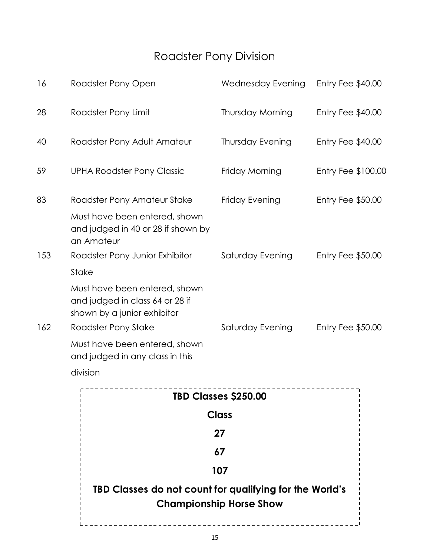# Roadster Pony Division

| 16  | Roadster Pony Open                                                                              | Wednesday Evening       | Entry Fee \$40.00         |
|-----|-------------------------------------------------------------------------------------------------|-------------------------|---------------------------|
| 28  | Roadster Pony Limit                                                                             | Thursday Morning        | Entry Fee \$40.00         |
| 40  | Roadster Pony Adult Amateur                                                                     | <b>Thursday Evening</b> | Entry Fee \$40.00         |
| 59  | <b>UPHA Roadster Pony Classic</b>                                                               | Friday Morning          | <b>Entry Fee \$100.00</b> |
| 83  | Roadster Pony Amateur Stake                                                                     | Friday Evening          | Entry Fee \$50.00         |
|     | Must have been entered, shown<br>and judged in 40 or 28 if shown by<br>an Amateur               |                         |                           |
| 153 | Roadster Pony Junior Exhibitor                                                                  | Saturday Evening        | <b>Entry Fee \$50.00</b>  |
|     | <b>Stake</b>                                                                                    |                         |                           |
|     | Must have been entered, shown<br>and judged in class 64 or 28 if<br>shown by a junior exhibitor |                         |                           |
| 162 | Roadster Pony Stake                                                                             | Saturday Evening        | <b>Entry Fee \$50.00</b>  |
|     | Must have been entered, shown<br>and judged in any class in this                                |                         |                           |

division

| TBD Classes \$250.00                                                                      |
|-------------------------------------------------------------------------------------------|
| Class                                                                                     |
| 27                                                                                        |
| 67                                                                                        |
| 107                                                                                       |
| TBD Classes do not count for qualifying for the World's<br><b>Championship Horse Show</b> |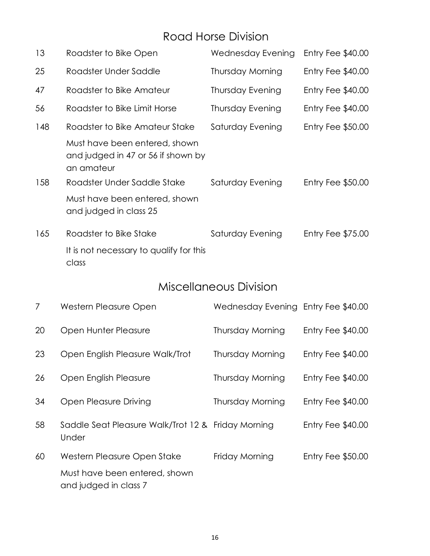## Road Horse Division

| 13  | Roadster to Bike Open                                                             | Wednesday Evening | Entry Fee $$40.00$ |
|-----|-----------------------------------------------------------------------------------|-------------------|--------------------|
| 25  | Roadster Under Saddle                                                             | Thursday Morning  | Entry Fee $$40.00$ |
| 47  | Roadster to Bike Amateur                                                          | Thursday Evening  | Entry Fee $$40.00$ |
| 56  | Roadster to Bike Limit Horse                                                      | Thursday Evening  | Entry Fee $$40.00$ |
| 148 | Roadster to Bike Amateur Stake                                                    | Saturday Evening  | Entry Fee $$50.00$ |
|     | Must have been entered, shown<br>and judged in 47 or 56 if shown by<br>an amateur |                   |                    |
| 158 | Roadster Under Saddle Stake                                                       | Saturday Evening  | Entry Fee $$50.00$ |
|     | Must have been entered, shown<br>and judged in class 25                           |                   |                    |
| 165 | Roadster to Bike Stake                                                            | Saturday Evening  | Entry Fee $$75.00$ |
|     | It is not necessary to qualify for this<br>class                                  |                   |                    |

## Miscellaneous Division

| $\mathcal{I}$ | Western Pleasure Open                                       | Wednesday Evening Entry Fee \$40.00 |                    |
|---------------|-------------------------------------------------------------|-------------------------------------|--------------------|
| 20            | Open Hunter Pleasure                                        | Thursday Morning                    | Entry Fee $$40.00$ |
| 23            | Open English Pleasure Walk/Trot                             | Thursday Morning                    | Entry Fee $$40.00$ |
| 26            | Open English Pleasure                                       | Thursday Morning                    | Entry Fee $$40.00$ |
| 34            | Open Pleasure Driving                                       | Thursday Morning                    | Entry Fee $$40.00$ |
| 58            | Saddle Seat Pleasure Walk/Trot 12 & Friday Morning<br>Under |                                     | Entry Fee $$40.00$ |
| 60            | Western Pleasure Open Stake                                 | Friday Morning                      | Entry Fee $$50.00$ |
|               | Must have been entered, shown<br>and judged in class 7      |                                     |                    |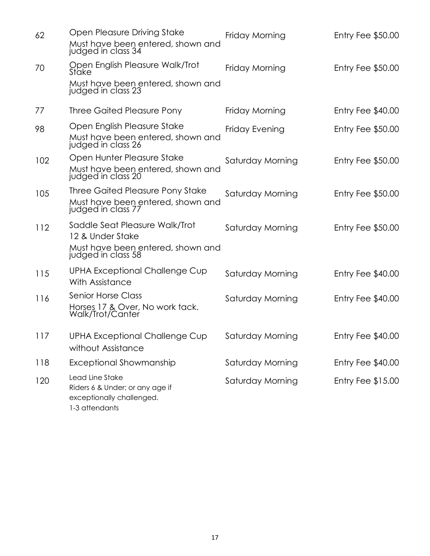| 62  | Open Pleasure Driving Stake<br>Must have been entered, shown and<br>judged in class 34                        | Friday Morning   | Entry Fee $$50.00$       |
|-----|---------------------------------------------------------------------------------------------------------------|------------------|--------------------------|
| 70  | Open English Pleasure Walk/Trot<br>Stake                                                                      | Friday Morning   | Entry Fee $$50.00$       |
|     | Must have been entered, shown and<br>judged in class 23                                                       |                  |                          |
| 77  | Three Gaited Pleasure Pony                                                                                    | Friday Morning   | Entry Fee \$40.00        |
| 98  | Open English Pleasure Stake<br>Must have been entered, shown and<br>judged in class 26                        | Friday Evening   | Entry Fee \$50.00        |
| 102 | Open Hunter Pleasure Stake<br>Must have been entered, shown and<br>judged in class 20                         | Saturday Morning | <b>Entry Fee \$50.00</b> |
| 105 | Three Gaited Pleasure Pony Stake<br>Must have been entered, shown and<br>judged in class 77                   | Saturday Morning | Entry Fee $$50.00$       |
| 112 | Saddle Seat Pleasure Walk/Trot<br>12 & Under Stake<br>Must have been entered, shown and<br>judged in class 58 | Saturday Morning | Entry Fee $$50.00$       |
| 115 | UPHA Exceptional Challenge Cup<br>With Assistance                                                             | Saturday Morning | Entry Fee $$40.00$       |
| 116 | <b>Senior Horse Class</b><br>Horses 17 & Over, No work tack.<br>Walk/Trot/Canter                              | Saturday Morning | Entry Fee \$40.00        |
| 117 | <b>UPHA Exceptional Challenge Cup</b><br>without Assistance                                                   | Saturday Morning | Entry Fee $$40.00$       |
| 118 | Exceptional Showmanship                                                                                       | Saturday Morning | Entry Fee \$40.00        |
| 120 | Lead Line Stake<br>Riders 6 & Under; or any age if<br>exceptionally challenged.<br>1-3 attendants             | Saturday Morning | Entry Fee $$15.00$       |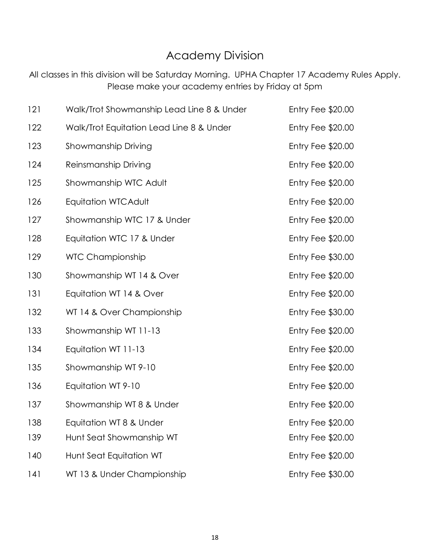## Academy Division

All classes in this division will be Saturday Morning. UPHA Chapter 17 Academy Rules Apply. Please make your academy entries by Friday at 5pm

| 121 | Walk/Trot Showmanship Lead Line 8 & Under | <b>Entry Fee \$20.00</b> |
|-----|-------------------------------------------|--------------------------|
| 122 | Walk/Trot Equitation Lead Line 8 & Under  | Entry Fee \$20.00        |
| 123 | Showmanship Driving                       | Entry Fee $$20.00$       |
| 124 | Reinsmanship Driving                      | Entry Fee \$20.00        |
| 125 | Showmanship WTC Adult                     | Entry Fee \$20.00        |
| 126 | Equitation WTCAdult                       | Entry Fee \$20.00        |
| 127 | Showmanship WTC 17 & Under                | Entry Fee $$20.00$       |
| 128 | Equitation WTC 17 & Under                 | Entry Fee $$20.00$       |
| 129 | <b>WTC Championship</b>                   | Entry Fee \$30.00        |
| 130 | Showmanship WT 14 & Over                  | Entry Fee \$20.00        |
| 131 | Equitation WT 14 & Over                   | Entry Fee \$20.00        |
| 132 | WT 14 & Over Championship                 | <b>Entry Fee \$30.00</b> |
| 133 | Showmanship WT 11-13                      | Entry Fee \$20.00        |
| 134 | Equitation WT 11-13                       | Entry Fee \$20.00        |
| 135 | Showmanship WT 9-10                       | Entry Fee \$20.00        |
| 136 | Equitation WT 9-10                        | Entry Fee $$20.00$       |
| 137 | Showmanship WT 8 & Under                  | Entry Fee $$20.00$       |
| 138 | Equitation WT 8 & Under                   | Entry Fee \$20.00        |
| 139 | Hunt Seat Showmanship WT                  | Entry Fee \$20.00        |
| 140 | Hunt Seat Equitation WT                   | Entry Fee \$20.00        |
| 141 | WT 13 & Under Championship                | Entry Fee \$30.00        |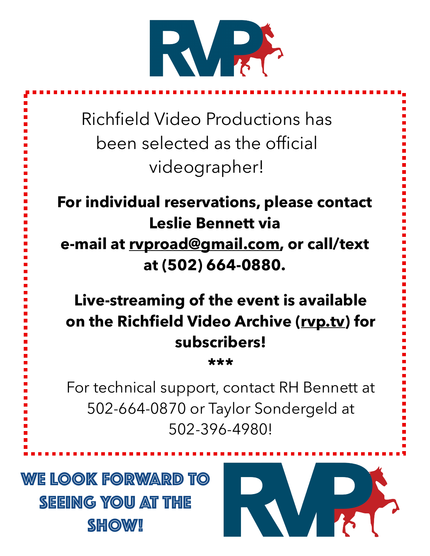

Richfield Video Productions has been selected as the official videographer!

**For individual reservations, please contact Leslie Bennett via e-mail at [rvproad@gmail.com](mailto:rvproad@gmail.com), or call/text at (502) 664-0880.**

**Live-streaming of the event is available on the Richfield Video Archive ([rvp.tv](http://rvp.tv)) for subscribers!** 

**\*\*\***

For technical support, contact RH Bennett at 502-664-0870 or Taylor Sondergeld at 502-396-4980!

WE LOOK FORWARD TO SEEING YOU AT THE **SHOW!** 

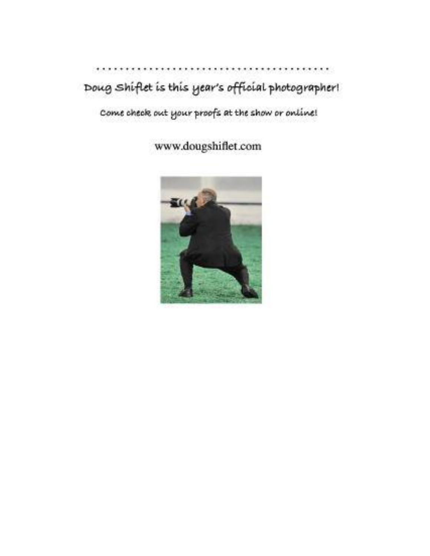### $\cdot$  .  $...$ Doug shiflet is this year's official photographer!

Come check out your proofs at the show or online!

www.dougshiflet.com